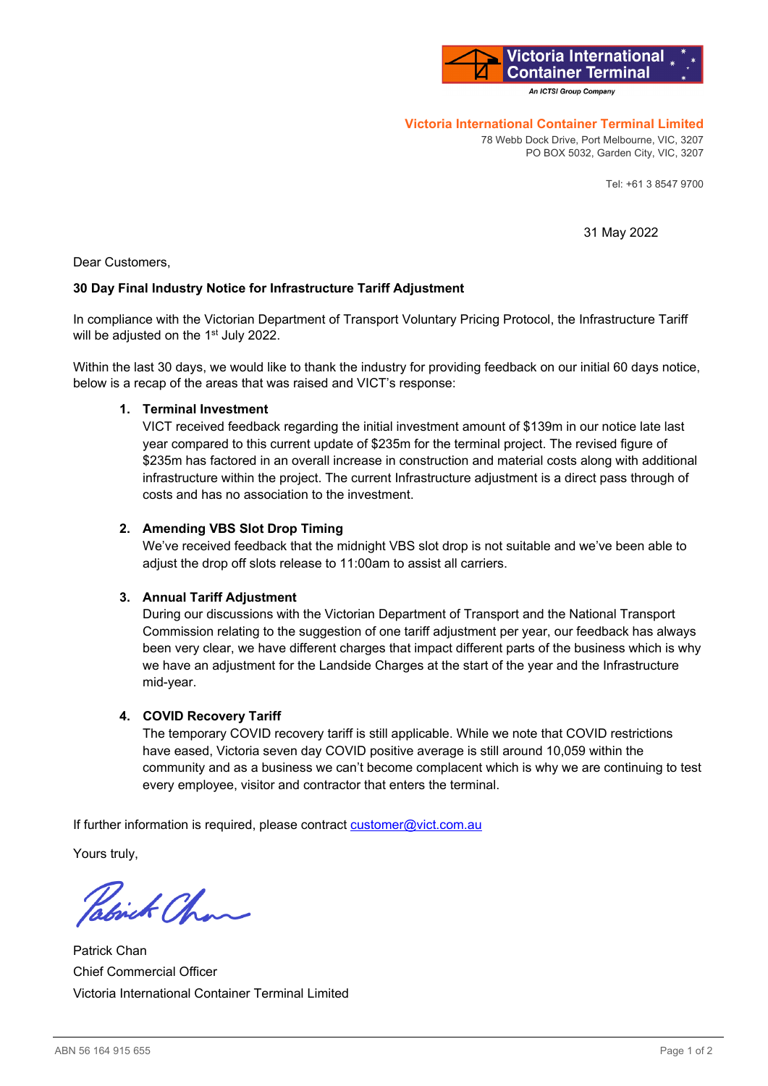

An ICTSI Group Company

### **Victoria International Container Terminal Limited**

78 Webb Dock Drive, Port Melbourne, VIC, 3207 PO BOX 5032, Garden City, VIC, 3207

Tel: +61 3 8547 9700

31 May 2022

Dear Customers,

## **30 Day Final Industry Notice for Infrastructure Tariff Adjustment**

In compliance with the Victorian Department of Transport Voluntary Pricing Protocol, the Infrastructure Tariff will be adjusted on the 1<sup>st</sup> July 2022.

Within the last 30 days, we would like to thank the industry for providing feedback on our initial 60 days notice, below is a recap of the areas that was raised and VICT's response:

### **1. Terminal Investment**

VICT received feedback regarding the initial investment amount of \$139m in our notice late last year compared to this current update of \$235m for the terminal project. The revised figure of \$235m has factored in an overall increase in construction and material costs along with additional infrastructure within the project. The current Infrastructure adjustment is a direct pass through of costs and has no association to the investment.

## **2. Amending VBS Slot Drop Timing**

We've received feedback that the midnight VBS slot drop is not suitable and we've been able to adjust the drop off slots release to 11:00am to assist all carriers.

### **3. Annual Tariff Adjustment**

During our discussions with the Victorian Department of Transport and the National Transport Commission relating to the suggestion of one tariff adjustment per year, our feedback has always been very clear, we have different charges that impact different parts of the business which is why we have an adjustment for the Landside Charges at the start of the year and the Infrastructure mid-year.

## **4. COVID Recovery Tariff**

The temporary COVID recovery tariff is still applicable. While we note that COVID restrictions have eased, Victoria seven day COVID positive average is still around 10,059 within the community and as a business we can't become complacent which is why we are continuing to test every employee, visitor and contractor that enters the terminal.

If further information is required, please contract customer@vict.com.au

Yours truly,

Which Chan

Patrick Chan Chief Commercial Officer Victoria International Container Terminal Limited